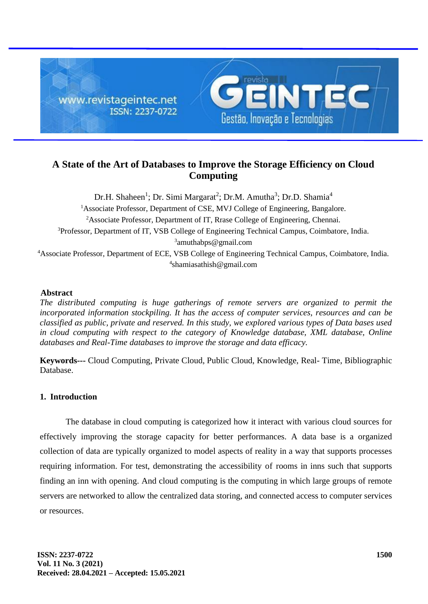

# **A State of the Art of Databases to Improve the Storage Efficiency on Cloud Computing**

Dr.H. Shaheen<sup>1</sup>; Dr. Simi Margarat<sup>2</sup>; Dr.M. Amutha<sup>3</sup>; Dr.D. Shamia<sup>4</sup> <sup>1</sup>Associate Professor, Department of CSE, MVJ College of Engineering, Bangalore. <sup>2</sup>Associate Professor, Department of IT, Rrase College of Engineering, Chennai. <sup>3</sup>Professor, Department of IT, VSB College of Engineering Technical Campus, Coimbatore, India. 3 amuthabps@gmail.com <sup>4</sup>Associate Professor, Department of ECE, VSB College of Engineering Technical Campus, Coimbatore, India. 4 shamiasathish@gmail.com

# **Abstract**

*The distributed computing is huge gatherings of remote servers are organized to permit the incorporated information stockpiling. It has the access of computer services, resources and can be classified as public, private and reserved. In this study, we explored various types of Data bases used in cloud computing with respect to the category of Knowledge database, XML database, Online databases and Real-Time databases to improve the storage and data efficacy.*

**Keywords---** Cloud Computing, Private Cloud, Public Cloud, Knowledge, Real- Time, Bibliographic Database.

# **1. Introduction**

The database in cloud computing is categorized how it interact with various cloud sources for effectively improving the storage capacity for better performances. A data base is a organized collection of data are typically organized to model aspects of reality in a way that supports processes requiring information. For test, demonstrating the accessibility of rooms in inns such that supports finding an inn with opening. And cloud computing is the computing in which large groups of remote servers are [networked](http://en.wikipedia.org/wiki/Computer_network) to allow the centralized data storing, and connected access to computer services or resources.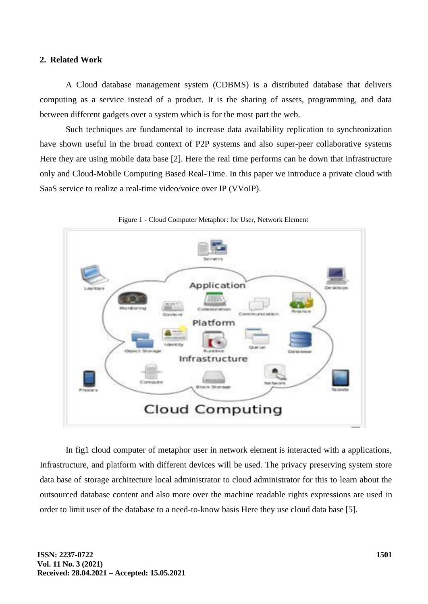## **2. Related Work**

A Cloud database management system (CDBMS) is a distributed database that delivers computing as a service instead of a product. It is the sharing of assets, programming, and data between different gadgets over a system which is for the most part the web.

Such techniques are fundamental to increase data availability replication to synchronization have shown useful in the broad context of P2P systems and also super-peer collaborative systems Here they are using mobile data base [2]. Here the real time performs can be down that infrastructure only and Cloud-Mobile Computing Based Real-Time. In this paper we introduce a private cloud with SaaS service to realize a real-time video/voice over IP (VVoIP).



Figure 1 - Cloud Computer Metaphor: for User, Network Element

In fig1 cloud computer of metaphor user in network element is interacted with a applications, Infrastructure, and platform with different devices will be used. The privacy preserving system store data base of storage architecture local administrator to cloud administrator for this to learn about the outsourced database content and also more over the machine readable rights expressions are used in order to limit user of the database to a need-to-know basis Here they use cloud data base [5].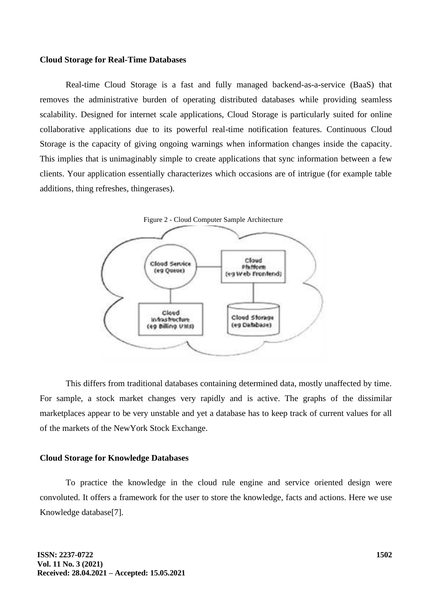#### **Cloud Storage for Real-Time Databases**

Real-time Cloud Storage is a fast and fully managed backend-as-a-service (BaaS) that removes the administrative burden of operating distributed databases while providing seamless scalability. Designed for internet scale applications, Cloud Storage is particularly suited for online collaborative applications due to its powerful real-time notification features. Continuous Cloud Storage is the capacity of giving ongoing warnings when information changes inside the capacity. This implies that is unimaginably simple to create applications that sync information between a few clients. Your application essentially characterizes which occasions are of intrigue (for example table additions, thing refreshes, thingerases).



This differs from traditional databases containing determined data, mostly unaffected by time. For sample, a stock market changes very rapidly and is active. The graphs of the dissimilar marketplaces appear to be very unstable and yet a database has to keep track of current values for all of the markets of [the NewYork Stock Exchange.](http://en.wikipedia.org/wiki/New_York_Stock_Exchange)

#### **Cloud Storage for Knowledge Databases**

To practice the knowledge in the cloud rule engine and service oriented design were convoluted. It offers a framework for the user to store the knowledge, facts and actions. Here we use Knowledge database[7].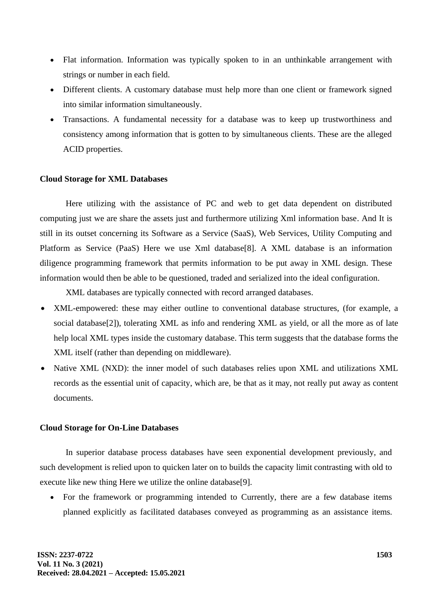- Flat information. Information was typically spoken to in an unthinkable arrangement with strings or number in each field.
- Different clients. A customary database must help more than one client or framework signed into similar information simultaneously.
- Transactions. A fundamental necessity for a database was to keep up trustworthiness and consistency among information that is gotten to by simultaneous clients. These are the alleged ACID properties.

### **Cloud Storage for XML Databases**

Here utilizing with the assistance of PC and web to get data dependent on distributed computing just we are share the assets just and furthermore utilizing Xml information base. And It is still in its outset concerning its Software as a Service (SaaS), Web Services, Utility Computing and Platform as Service (PaaS) Here we use Xml database[8]. A XML database is an information diligence programming framework that permits information to be put away in XML design. These information would then be able to be questioned, traded and serialized into the ideal configuration.

XML databases are typically connected with record arranged databases.

- XML-empowered: these may either outline to conventional database structures, (for example, a social database<sup>[2]</sup>), tolerating XML as info and rendering XML as yield, or all the more as of late help local XML types inside the customary database. This term suggests that the database forms the XML itself (rather than depending on middleware).
- Native XML (NXD): the inner model of such databases relies upon XML and utilizations XML records as the essential unit of capacity, which are, be that as it may, not really put away as content documents.

## **Cloud Storage for On-Line Databases**

In superior database process databases have seen exponential development previously, and such development is relied upon to quicken later on to builds the capacity limit contrasting with old to execute like new thing Here we utilize the online database[9].

• For the framework or programming intended to Currently, there are a few database items planned explicitly as facilitated databases conveyed as programming as an assistance items.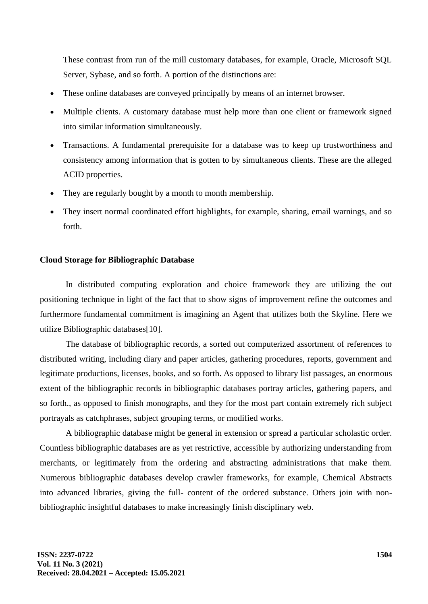These contrast from run of the mill customary databases, for example, Oracle, Microsoft SQL Server, Sybase, and so forth. A portion of the distinctions are:

- These online databases are conveyed principally by means of an internet browser.
- Multiple clients. A customary database must help more than one client or framework signed into similar information simultaneously.
- Transactions. A fundamental prerequisite for a database was to keep up trustworthiness and consistency among information that is gotten to by simultaneous clients. These are the alleged ACID properties.
- They are regularly bought by a month to month membership.
- They insert normal coordinated effort highlights, for example, sharing, email warnings, and so forth.

### **Cloud Storage for Bibliographic Database**

In distributed computing exploration and choice framework they are utilizing the out positioning technique in light of the fact that to show signs of improvement refine the outcomes and furthermore fundamental commitment is imagining an Agent that utilizes both the Skyline. Here we utilize Bibliographic databases[10].

The database of bibliographic records, a sorted out computerized assortment of references to distributed writing, including diary and paper articles, gathering procedures, reports, government and legitimate productions, licenses, books, and so forth. As opposed to library list passages, an enormous extent of the bibliographic records in bibliographic databases portray articles, gathering papers, and so forth., as opposed to finish monographs, and they for the most part contain extremely rich subject portrayals as catchphrases, subject grouping terms, or modified works.

A bibliographic database might be general in extension or spread a particular scholastic order. Countless bibliographic databases are as yet restrictive, accessible by authorizing understanding from merchants, or legitimately from the ordering and abstracting administrations that make them. Numerous bibliographic databases develop crawler frameworks, for example, Chemical Abstracts into advanced libraries, giving the full- content of the ordered substance. Others join with nonbibliographic insightful databases to make increasingly finish disciplinary web.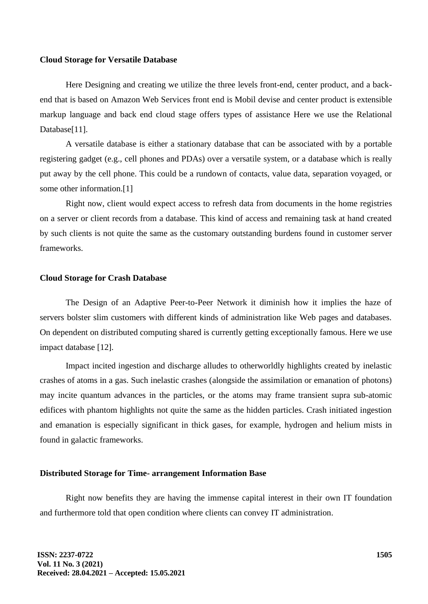#### **Cloud Storage for Versatile Database**

Here Designing and creating we utilize the three levels front-end, center product, and a backend that is based on Amazon Web Services front end is Mobil devise and center product is extensible markup language and back end cloud stage offers types of assistance Here we use the Relational Database[11].

A versatile database is either a stationary database that can be associated with by a portable registering gadget (e.g., cell phones and PDAs) over a versatile system, or a database which is really put away by the cell phone. This could be a rundown of contacts, value data, separation voyaged, or some other information.[1]

Right now, client would expect access to refresh data from documents in the home registries on a server or client records from a database. This kind of access and remaining task at hand created by such clients is not quite the same as the customary outstanding burdens found in customer server frameworks.

#### **Cloud Storage for Crash Database**

The Design of an Adaptive Peer-to-Peer Network it diminish how it implies the haze of servers bolster slim customers with different kinds of administration like Web pages and databases. On dependent on distributed computing shared is currently getting exceptionally famous. Here we use impact database [12].

Impact incited ingestion and discharge alludes to otherworldly highlights created by inelastic crashes of atoms in a gas. Such inelastic crashes (alongside the assimilation or emanation of photons) may incite quantum advances in the particles, or the atoms may frame transient supra sub-atomic edifices with phantom highlights not quite the same as the hidden particles. Crash initiated ingestion and emanation is especially significant in thick gases, for example, hydrogen and helium mists in found in galactic frameworks.

#### **Distributed Storage for Time- arrangement Information Base**

Right now benefits they are having the immense capital interest in their own IT foundation and furthermore told that open condition where clients can convey IT administration.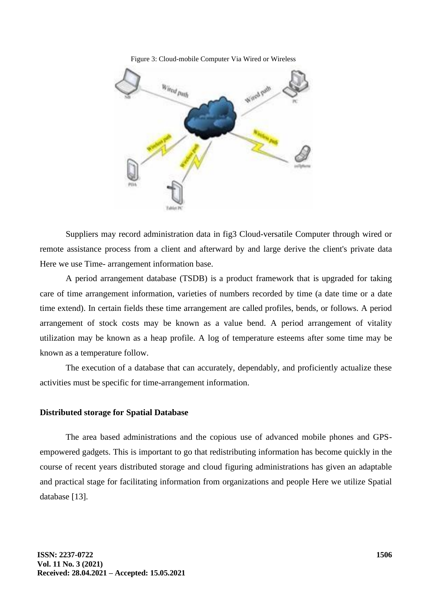



Suppliers may record administration data in fig3 Cloud-versatile Computer through wired or remote assistance process from a client and afterward by and large derive the client's private data Here we use Time- arrangement information base.

A period arrangement database (TSDB) is a product framework that is upgraded for taking care of time arrangement information, varieties of numbers recorded by time (a date time or a date time extend). In certain fields these time arrangement are called profiles, bends, or follows. A period arrangement of stock costs may be known as a value bend. A period arrangement of vitality utilization may be known as a heap profile. A log of temperature esteems after some time may be known as a temperature follow.

The execution of a database that can accurately, dependably, and proficiently actualize these activities must be specific for time-arrangement information.

#### **Distributed storage for Spatial Database**

The area based administrations and the copious use of advanced mobile phones and GPSempowered gadgets. This is important to go that redistributing information has become quickly in the course of recent years distributed storage and cloud figuring administrations has given an adaptable and practical stage for facilitating information from organizations and people Here we utilize Spatial database [13].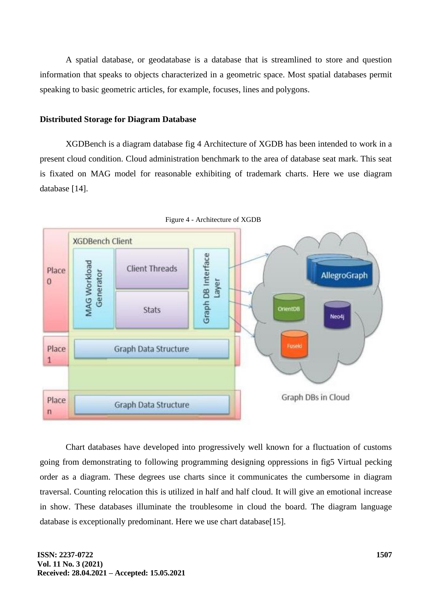A spatial database, or geodatabase is a database that is streamlined to store and question information that speaks to objects characterized in a geometric space. Most spatial databases permit speaking to basic geometric articles, for example, focuses, lines and polygons.

#### **Distributed Storage for Diagram Database**

XGDBench is a diagram database fig 4 Architecture of XGDB has been intended to work in a present cloud condition. Cloud administration benchmark to the area of database seat mark. This seat is fixated on MAG model for reasonable exhibiting of trademark charts. Here we use diagram database [14].



Figure 4 - Architecture of XGDB

Chart databases have developed into progressively well known for a fluctuation of customs going from demonstrating to following programming designing oppressions in fig5 Virtual pecking order as a diagram. These degrees use charts since it communicates the cumbersome in diagram traversal. Counting relocation this is utilized in half and half cloud. It will give an emotional increase in show. These databases illuminate the troublesome in cloud the board. The diagram language database is exceptionally predominant. Here we use chart database[15].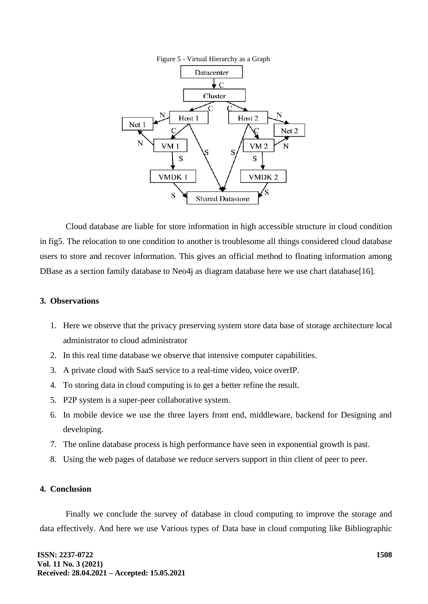



Cloud database are liable for store information in high accessible structure in cloud condition in fig5. The relocation to one condition to another is troublesome all things considered cloud database users to store and recover information. This gives an official method to floating information among DBase as a section family database to Neo4j as diagram database here we use chart database[16].

### **3. Observations**

- 1. Here we observe that the privacy preserving system store data base of storage architecture local administrator to cloud administrator
- 2. In this real time database we observe that intensive computer capabilities.
- 3. A private cloud with SaaS service to a real-time video, voice overIP.
- 4. To storing data in cloud computing is to get a better refine the result.
- 5. P2P system is a super-peer collaborative system.
- 6. In mobile device we use the three layers front end, middleware, backend for Designing and developing.
- 7. The online database process is high performance have seen in exponential growth is past.
- 8. Using the web pages of database we reduce servers support in thin client of peer to peer.

# **4. Conclusion**

Finally we conclude the survey of database in cloud computing to improve the storage and data effectively. And here we use Various types of Data base in cloud computing like Bibliographic